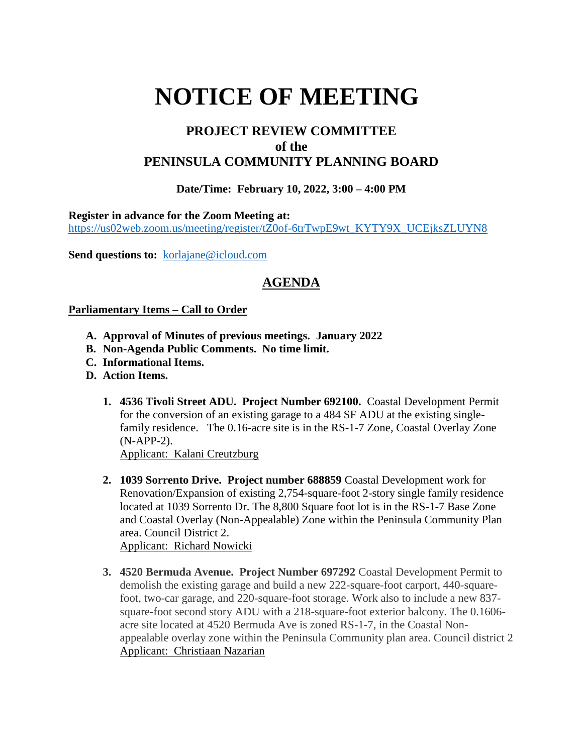# **NOTICE OF MEETING**

## **PROJECT REVIEW COMMITTEE of the PENINSULA COMMUNITY PLANNING BOARD**

### **Date/Time: February 10, 2022, 3:00 – 4:00 PM**

**Register in advance for the Zoom Meeting at:**

[https://us02web.zoom.us/meeting/register/tZ0of-6trTwpE9wt\\_KYTY9X\\_UCEjksZLUYN8](https://us02web.zoom.us/meeting/register/tZ0of-6trTwpE9wt_KYTY9X_UCEjksZLUYN8)

Send questions to: [korlajane@icloud.com](mailto:korlajane@icloud.com)

## **AGENDA**

#### **Parliamentary Items – Call to Order**

- **A. Approval of Minutes of previous meetings. January 2022**
- **B. Non-Agenda Public Comments. No time limit.**
- **C. Informational Items.**
- **D. Action Items.** 
	- **1. 4536 Tivoli Street ADU. Project Number 692100.** Coastal Development Permit for the conversion of an existing garage to a 484 SF ADU at the existing singlefamily residence. The 0.16-acre site is in the RS-1-7 Zone, Coastal Overlay Zone (N-APP-2). Applicant: Kalani Creutzburg
	- **2. 1039 Sorrento Drive. Project number 688859** Coastal Development work for Renovation/Expansion of existing 2,754-square-foot 2-story single family residence located at 1039 Sorrento Dr. The 8,800 Square foot lot is in the RS-1-7 Base Zone and Coastal Overlay (Non-Appealable) Zone within the Peninsula Community Plan area. Council District 2.

Applicant: Richard Nowicki

**3. 4520 Bermuda Avenue. Project Number 697292** Coastal Development Permit to demolish the existing garage and build a new 222-square-foot carport, 440-squarefoot, two-car garage, and 220-square-foot storage. Work also to include a new 837 square-foot second story ADU with a 218-square-foot exterior balcony. The 0.1606 acre site located at 4520 Bermuda Ave is zoned RS-1-7, in the Coastal Nonappealable overlay zone within the Peninsula Community plan area. Council district 2 Applicant: Christiaan Nazarian